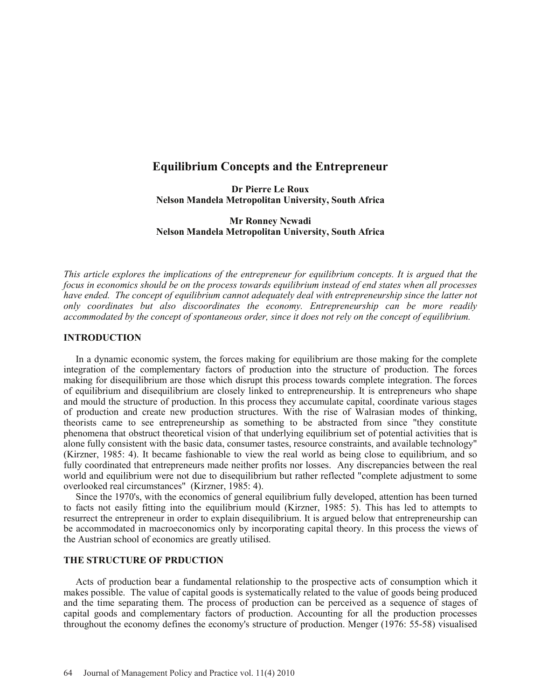# **Equilibrium Concepts and the Entrepreneur**

**Dr Pierre Le Roux Nelson Mandela Metropolitan University, South Africa**

**Mr Ronney Ncwadi Nelson Mandela Metropolitan University, South Africa**

*This article explores the implications of the entrepreneur for equilibrium concepts. It is argued that the focus in economics should be on the process towards equilibrium instead of end states when all processes have ended. The concept of equilibrium cannot adequately deal with entrepreneurship since the latter not only coordinates but also discoordinates the economy. Entrepreneurship can be more readily accommodated by the concept of spontaneous order, since it does not rely on the concept of equilibrium.*

#### **INTRODUCTION**

In a dynamic economic system, the forces making for equilibrium are those making for the complete integration of the complementary factors of production into the structure of production. The forces making for disequilibrium are those which disrupt this process towards complete integration. The forces of equilibrium and disequilibrium are closely linked to entrepreneurship. It is entrepreneurs who shape and mould the structure of production. In this process they accumulate capital, coordinate various stages of production and create new production structures. With the rise of Walrasian modes of thinking, theorists came to see entrepreneurship as something to be abstracted from since "they constitute phenomena that obstruct theoretical vision of that underlying equilibrium set of potential activities that is alone fully consistent with the basic data, consumer tastes, resource constraints, and available technology" (Kirzner, 1985: 4). It became fashionable to view the real world as being close to equilibrium, and so fully coordinated that entrepreneurs made neither profits nor losses. Any discrepancies between the real world and equilibrium were not due to disequilibrium but rather reflected "complete adjustment to some overlooked real circumstances" (Kirzner, 1985: 4).

Since the 1970's, with the economics of general equilibrium fully developed, attention has been turned to facts not easily fitting into the equilibrium mould (Kirzner, 1985: 5). This has led to attempts to resurrect the entrepreneur in order to explain disequilibrium. It is argued below that entrepreneurship can be accommodated in macroeconomics only by incorporating capital theory. In this process the views of the Austrian school of economics are greatly utilised.

#### **THE STRUCTURE OF PRDUCTION**

Acts of production bear a fundamental relationship to the prospective acts of consumption which it makes possible. The value of capital goods is systematically related to the value of goods being produced and the time separating them. The process of production can be perceived as a sequence of stages of capital goods and complementary factors of production. Accounting for all the production processes throughout the economy defines the economy's structure of production. Menger (1976: 55-58) visualised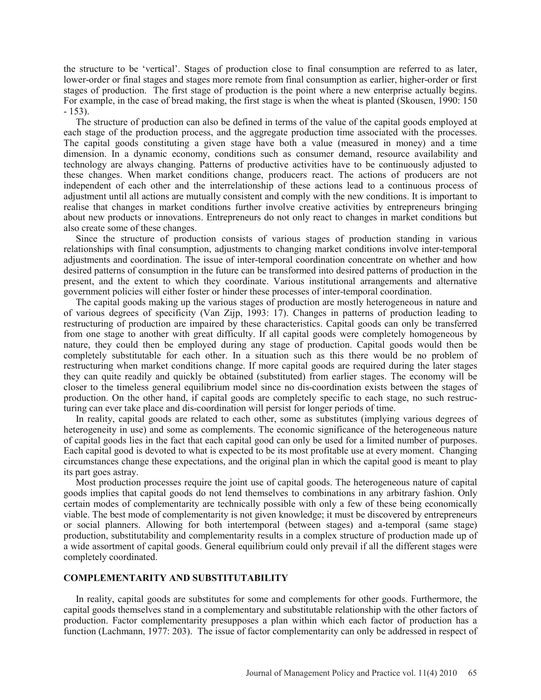the structure to be 'vertical'. Stages of production close to final consumption are referred to as later, lower-order or final stages and stages more remote from final consumption as earlier, higher-order or first stages of production. The first stage of production is the point where a new enterprise actually begins. For example, in the case of bread making, the first stage is when the wheat is planted (Skousen, 1990: 150 - 153).

The structure of production can also be defined in terms of the value of the capital goods employed at each stage of the production process, and the aggregate production time associated with the processes. The capital goods constituting a given stage have both a value (measured in money) and a time dimension. In a dynamic economy, conditions such as consumer demand, resource availability and technology are always changing. Patterns of productive activities have to be continuously adjusted to these changes. When market conditions change, producers react. The actions of producers are not independent of each other and the interrelationship of these actions lead to a continuous process of adjustment until all actions are mutually consistent and comply with the new conditions. It is important to realise that changes in market conditions further involve creative activities by entrepreneurs bringing about new products or innovations. Entrepreneurs do not only react to changes in market conditions but also create some of these changes.

Since the structure of production consists of various stages of production standing in various relationships with final consumption, adjustments to changing market conditions involve inter-temporal adjustments and coordination. The issue of inter-temporal coordination concentrate on whether and how desired patterns of consumption in the future can be transformed into desired patterns of production in the present, and the extent to which they coordinate. Various institutional arrangements and alternative government policies will either foster or hinder these processes of inter-temporal coordination.

The capital goods making up the various stages of production are mostly heterogeneous in nature and of various degrees of specificity (Van Zijp, 1993: 17). Changes in patterns of production leading to restructuring of production are impaired by these characteristics. Capital goods can only be transferred from one stage to another with great difficulty. If all capital goods were completely homogeneous by nature, they could then be employed during any stage of production. Capital goods would then be completely substitutable for each other. In a situation such as this there would be no problem of restructuring when market conditions change. If more capital goods are required during the later stages they can quite readily and quickly be obtained (substituted) from earlier stages. The economy will be closer to the timeless general equilibrium model since no dis-coordination exists between the stages of production. On the other hand, if capital goods are completely specific to each stage, no such restructuring can ever take place and dis-coordination will persist for longer periods of time.

In reality, capital goods are related to each other, some as substitutes (implying various degrees of heterogeneity in use) and some as complements. The economic significance of the heterogeneous nature of capital goods lies in the fact that each capital good can only be used for a limited number of purposes. Each capital good is devoted to what is expected to be its most profitable use at every moment. Changing circumstances change these expectations, and the original plan in which the capital good is meant to play its part goes astray.

Most production processes require the joint use of capital goods. The heterogeneous nature of capital goods implies that capital goods do not lend themselves to combinations in any arbitrary fashion. Only certain modes of complementarity are technically possible with only a few of these being economically viable. The best mode of complementarity is not given knowledge; it must be discovered by entrepreneurs or social planners. Allowing for both intertemporal (between stages) and a-temporal (same stage) production, substitutability and complementarity results in a complex structure of production made up of a wide assortment of capital goods. General equilibrium could only prevail if all the different stages were completely coordinated.

## **COMPLEMENTARITY AND SUBSTITUTABILITY**

In reality, capital goods are substitutes for some and complements for other goods. Furthermore, the capital goods themselves stand in a complementary and substitutable relationship with the other factors of production. Factor complementarity presupposes a plan within which each factor of production has a function (Lachmann, 1977: 203). The issue of factor complementarity can only be addressed in respect of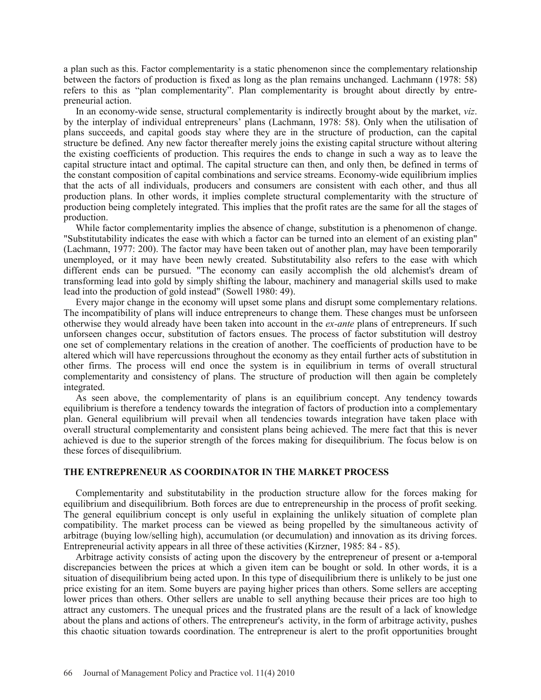a plan such as this. Factor complementarity is a static phenomenon since the complementary relationship between the factors of production is fixed as long as the plan remains unchanged. Lachmann (1978: 58) refers to this as "plan complementarity". Plan complementarity is brought about directly by entrepreneurial action.

In an economy-wide sense, structural complementarity is indirectly brought about by the market, *viz*. by the interplay of individual entrepreneurs' plans (Lachmann, 1978: 58). Only when the utilisation of plans succeeds, and capital goods stay where they are in the structure of production, can the capital structure be defined. Any new factor thereafter merely joins the existing capital structure without altering the existing coefficients of production. This requires the ends to change in such a way as to leave the capital structure intact and optimal. The capital structure can then, and only then, be defined in terms of the constant composition of capital combinations and service streams. Economy-wide equilibrium implies that the acts of all individuals, producers and consumers are consistent with each other, and thus all production plans. In other words, it implies complete structural complementarity with the structure of production being completely integrated. This implies that the profit rates are the same for all the stages of production.

While factor complementarity implies the absence of change, substitution is a phenomenon of change. "Substitutability indicates the ease with which a factor can be turned into an element of an existing plan" (Lachmann, 1977: 200). The factor may have been taken out of another plan, may have been temporarily unemployed, or it may have been newly created. Substitutability also refers to the ease with which different ends can be pursued. "The economy can easily accomplish the old alchemist's dream of transforming lead into gold by simply shifting the labour, machinery and managerial skills used to make lead into the production of gold instead" (Sowell 1980: 49).

Every major change in the economy will upset some plans and disrupt some complementary relations. The incompatibility of plans will induce entrepreneurs to change them. These changes must be unforseen otherwise they would already have been taken into account in the *ex-ante* plans of entrepreneurs. If such unforseen changes occur, substitution of factors ensues. The process of factor substitution will destroy one set of complementary relations in the creation of another. The coefficients of production have to be altered which will have repercussions throughout the economy as they entail further acts of substitution in other firms. The process will end once the system is in equilibrium in terms of overall structural complementarity and consistency of plans. The structure of production will then again be completely integrated.

As seen above, the complementarity of plans is an equilibrium concept. Any tendency towards equilibrium is therefore a tendency towards the integration of factors of production into a complementary plan. General equilibrium will prevail when all tendencies towards integration have taken place with overall structural complementarity and consistent plans being achieved. The mere fact that this is never achieved is due to the superior strength of the forces making for disequilibrium. The focus below is on these forces of disequilibrium.

#### **THE ENTREPRENEUR AS COORDINATOR IN THE MARKET PROCESS**

Complementarity and substitutability in the production structure allow for the forces making for equilibrium and disequilibrium. Both forces are due to entrepreneurship in the process of profit seeking. The general equilibrium concept is only useful in explaining the unlikely situation of complete plan compatibility. The market process can be viewed as being propelled by the simultaneous activity of arbitrage (buying low/selling high), accumulation (or decumulation) and innovation as its driving forces. Entrepreneurial activity appears in all three of these activities (Kirzner, 1985: 84 - 85).

Arbitrage activity consists of acting upon the discovery by the entrepreneur of present or a-temporal discrepancies between the prices at which a given item can be bought or sold. In other words, it is a situation of disequilibrium being acted upon. In this type of disequilibrium there is unlikely to be just one price existing for an item. Some buyers are paying higher prices than others. Some sellers are accepting lower prices than others. Other sellers are unable to sell anything because their prices are too high to attract any customers. The unequal prices and the frustrated plans are the result of a lack of knowledge about the plans and actions of others. The entrepreneur's activity, in the form of arbitrage activity, pushes this chaotic situation towards coordination. The entrepreneur is alert to the profit opportunities brought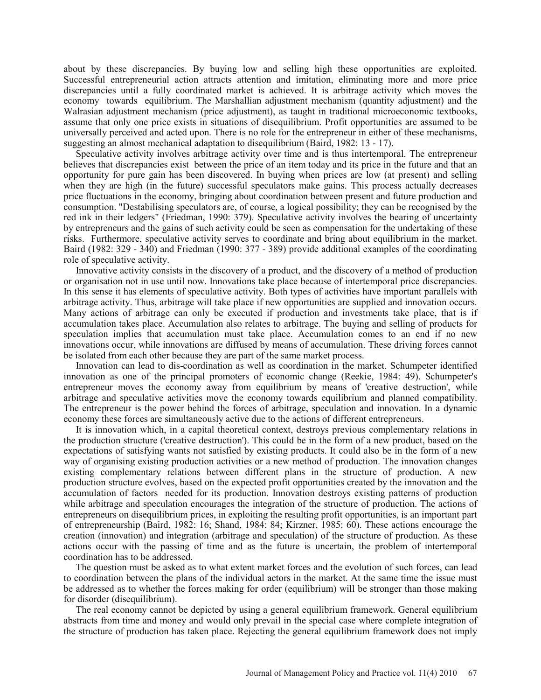about by these discrepancies. By buying low and selling high these opportunities are exploited. Successful entrepreneurial action attracts attention and imitation, eliminating more and more price discrepancies until a fully coordinated market is achieved. It is arbitrage activity which moves the economy towards equilibrium. The Marshallian adjustment mechanism (quantity adjustment) and the Walrasian adjustment mechanism (price adjustment), as taught in traditional microeconomic textbooks, assume that only one price exists in situations of disequilibrium. Profit opportunities are assumed to be universally perceived and acted upon. There is no role for the entrepreneur in either of these mechanisms, suggesting an almost mechanical adaptation to disequilibrium (Baird, 1982: 13 - 17).

Speculative activity involves arbitrage activity over time and is thus intertemporal. The entrepreneur believes that discrepancies exist between the price of an item today and its price in the future and that an opportunity for pure gain has been discovered. In buying when prices are low (at present) and selling when they are high (in the future) successful speculators make gains. This process actually decreases price fluctuations in the economy, bringing about coordination between present and future production and consumption. "Destabilising speculators are, of course, a logical possibility; they can be recognised by the red ink in their ledgers" (Friedman, 1990: 379). Speculative activity involves the bearing of uncertainty by entrepreneurs and the gains of such activity could be seen as compensation for the undertaking of these risks. Furthermore, speculative activity serves to coordinate and bring about equilibrium in the market. Baird (1982: 329 - 340) and Friedman (1990: 377 - 389) provide additional examples of the coordinating role of speculative activity.

Innovative activity consists in the discovery of a product, and the discovery of a method of production or organisation not in use until now. Innovations take place because of intertemporal price discrepancies. In this sense it has elements of speculative activity. Both types of activities have important parallels with arbitrage activity. Thus, arbitrage will take place if new opportunities are supplied and innovation occurs. Many actions of arbitrage can only be executed if production and investments take place, that is if accumulation takes place. Accumulation also relates to arbitrage. The buying and selling of products for speculation implies that accumulation must take place. Accumulation comes to an end if no new innovations occur, while innovations are diffused by means of accumulation. These driving forces cannot be isolated from each other because they are part of the same market process.

Innovation can lead to dis-coordination as well as coordination in the market. Schumpeter identified innovation as one of the principal promoters of economic change (Reekie, 1984: 49). Schumpeter's entrepreneur moves the economy away from equilibrium by means of 'creative destruction', while arbitrage and speculative activities move the economy towards equilibrium and planned compatibility. The entrepreneur is the power behind the forces of arbitrage, speculation and innovation. In a dynamic economy these forces are simultaneously active due to the actions of different entrepreneurs.

It is innovation which, in a capital theoretical context, destroys previous complementary relations in the production structure ('creative destruction'). This could be in the form of a new product, based on the expectations of satisfying wants not satisfied by existing products. It could also be in the form of a new way of organising existing production activities or a new method of production. The innovation changes existing complementary relations between different plans in the structure of production. A new production structure evolves, based on the expected profit opportunities created by the innovation and the accumulation of factors needed for its production. Innovation destroys existing patterns of production while arbitrage and speculation encourages the integration of the structure of production. The actions of entrepreneurs on disequilibrium prices, in exploiting the resulting profit opportunities, is an important part of entrepreneurship (Baird, 1982: 16; Shand, 1984: 84; Kirzner, 1985: 60). These actions encourage the creation (innovation) and integration (arbitrage and speculation) of the structure of production. As these actions occur with the passing of time and as the future is uncertain, the problem of intertemporal coordination has to be addressed.

The question must be asked as to what extent market forces and the evolution of such forces, can lead to coordination between the plans of the individual actors in the market. At the same time the issue must be addressed as to whether the forces making for order (equilibrium) will be stronger than those making for disorder (disequilibrium).

The real economy cannot be depicted by using a general equilibrium framework. General equilibrium abstracts from time and money and would only prevail in the special case where complete integration of the structure of production has taken place. Rejecting the general equilibrium framework does not imply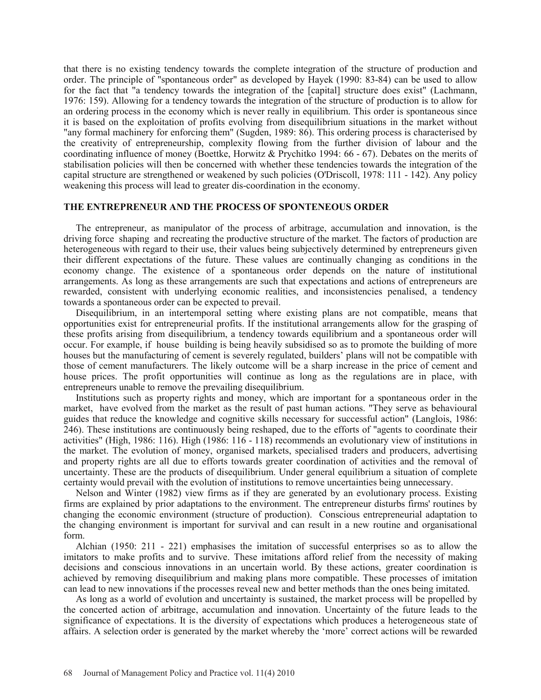that there is no existing tendency towards the complete integration of the structure of production and order. The principle of "spontaneous order" as developed by Hayek (1990: 83-84) can be used to allow for the fact that "a tendency towards the integration of the [capital] structure does exist" (Lachmann, 1976: 159). Allowing for a tendency towards the integration of the structure of production is to allow for an ordering process in the economy which is never really in equilibrium. This order is spontaneous since it is based on the exploitation of profits evolving from disequilibrium situations in the market without "any formal machinery for enforcing them" (Sugden, 1989: 86). This ordering process is characterised by the creativity of entrepreneurship, complexity flowing from the further division of labour and the coordinating influence of money (Boettke, Horwitz & Prychitko 1994: 66 - 67). Debates on the merits of stabilisation policies will then be concerned with whether these tendencies towards the integration of the capital structure are strengthened or weakened by such policies (O'Driscoll, 1978: 111 - 142). Any policy weakening this process will lead to greater dis-coordination in the economy.

#### **THE ENTREPRENEUR AND THE PROCESS OF SPONTENEOUS ORDER**

The entrepreneur, as manipulator of the process of arbitrage, accumulation and innovation, is the driving force shaping and recreating the productive structure of the market. The factors of production are heterogeneous with regard to their use, their values being subjectively determined by entrepreneurs given their different expectations of the future. These values are continually changing as conditions in the economy change. The existence of a spontaneous order depends on the nature of institutional arrangements. As long as these arrangements are such that expectations and actions of entrepreneurs are rewarded, consistent with underlying economic realities, and inconsistencies penalised, a tendency towards a spontaneous order can be expected to prevail.

Disequilibrium, in an intertemporal setting where existing plans are not compatible, means that opportunities exist for entrepreneurial profits. If the institutional arrangements allow for the grasping of these profits arising from disequilibrium, a tendency towards equilibrium and a spontaneous order will occur. For example, if house building is being heavily subsidised so as to promote the building of more houses but the manufacturing of cement is severely regulated, builders' plans will not be compatible with those of cement manufacturers. The likely outcome will be a sharp increase in the price of cement and house prices. The profit opportunities will continue as long as the regulations are in place, with entrepreneurs unable to remove the prevailing disequilibrium.

Institutions such as property rights and money, which are important for a spontaneous order in the market, have evolved from the market as the result of past human actions. "They serve as behavioural guides that reduce the knowledge and cognitive skills necessary for successful action" (Langlois, 1986: 246). These institutions are continuously being reshaped, due to the efforts of "agents to coordinate their activities" (High, 1986: 116). High (1986: 116 - 118) recommends an evolutionary view of institutions in the market. The evolution of money, organised markets, specialised traders and producers, advertising and property rights are all due to efforts towards greater coordination of activities and the removal of uncertainty. These are the products of disequilibrium. Under general equilibrium a situation of complete certainty would prevail with the evolution of institutions to remove uncertainties being unnecessary.

Nelson and Winter (1982) view firms as if they are generated by an evolutionary process. Existing firms are explained by prior adaptations to the environment. The entrepreneur disturbs firms' routines by changing the economic environment (structure of production). Conscious entrepreneurial adaptation to the changing environment is important for survival and can result in a new routine and organisational form.

Alchian (1950: 211 - 221) emphasises the imitation of successful enterprises so as to allow the imitators to make profits and to survive. These imitations afford relief from the necessity of making decisions and conscious innovations in an uncertain world. By these actions, greater coordination is achieved by removing disequilibrium and making plans more compatible. These processes of imitation can lead to new innovations if the processes reveal new and better methods than the ones being imitated.

As long as a world of evolution and uncertainty is sustained, the market process will be propelled by the concerted action of arbitrage, accumulation and innovation. Uncertainty of the future leads to the significance of expectations. It is the diversity of expectations which produces a heterogeneous state of affairs. A selection order is generated by the market whereby the 'more' correct actions will be rewarded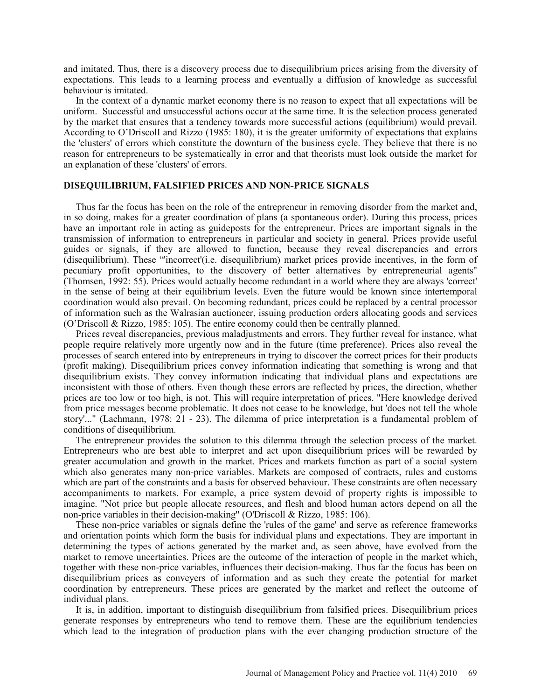and imitated. Thus, there is a discovery process due to disequilibrium prices arising from the diversity of expectations. This leads to a learning process and eventually a diffusion of knowledge as successful behaviour is imitated.

In the context of a dynamic market economy there is no reason to expect that all expectations will be uniform. Successful and unsuccessful actions occur at the same time. It is the selection process generated by the market that ensures that a tendency towards more successful actions (equilibrium) would prevail. According to O'DriscolI and Rizzo (1985: 180), it is the greater uniformity of expectations that explains the 'clusters' of errors which constitute the downturn of the business cycle. They believe that there is no reason for entrepreneurs to be systematically in error and that theorists must look outside the market for an explanation of these 'clusters' of errors.

## **DISEQUILIBRIUM, FALSIFIED PRICES AND NON-PRICE SIGNALS**

Thus far the focus has been on the role of the entrepreneur in removing disorder from the market and, in so doing, makes for a greater coordination of plans (a spontaneous order). During this process, prices have an important role in acting as guideposts for the entrepreneur. Prices are important signals in the transmission of information to entrepreneurs in particular and society in general. Prices provide useful guides or signals, if they are allowed to function, because they reveal discrepancies and errors (disequilibrium). These "'incorrect'(i.e. disequilibrium) market prices provide incentives, in the form of pecuniary profit opportunities, to the discovery of better alternatives by entrepreneurial agents" (Thomsen, 1992: 55). Prices would actually become redundant in a world where they are always 'correct' in the sense of being at their equilibrium levels. Even the future would be known since intertemporal coordination would also prevail. On becoming redundant, prices could be replaced by a central processor of information such as the Walrasian auctioneer, issuing production orders allocating goods and services (O'Driscoll & Rizzo, 1985: 105). The entire economy could then be centrally planned.

Prices reveal discrepancies, previous maladjustments and errors. They further reveal for instance, what people require relatively more urgently now and in the future (time preference). Prices also reveal the processes of search entered into by entrepreneurs in trying to discover the correct prices for their products (profit making). Disequilibrium prices convey information indicating that something is wrong and that disequilibrium exists. They convey information indicating that individual plans and expectations are inconsistent with those of others. Even though these errors are reflected by prices, the direction, whether prices are too low or too high, is not. This will require interpretation of prices. "Here knowledge derived from price messages become problematic. It does not cease to be knowledge, but 'does not tell the whole story'..." (Lachmann, 1978: 21 - 23). The dilemma of price interpretation is a fundamental problem of conditions of disequilibrium.

The entrepreneur provides the solution to this dilemma through the selection process of the market. Entrepreneurs who are best able to interpret and act upon disequilibrium prices will be rewarded by greater accumulation and growth in the market. Prices and markets function as part of a social system which also generates many non-price variables. Markets are composed of contracts, rules and customs which are part of the constraints and a basis for observed behaviour. These constraints are often necessary accompaniments to markets. For example, a price system devoid of property rights is impossible to imagine. "Not price but people allocate resources, and flesh and blood human actors depend on all the non-price variables in their decision-making" (O'Driscoll & Rizzo, 1985: 106).

These non-price variables or signals define the 'rules of the game' and serve as reference frameworks and orientation points which form the basis for individual plans and expectations. They are important in determining the types of actions generated by the market and, as seen above, have evolved from the market to remove uncertainties. Prices are the outcome of the interaction of people in the market which, together with these non-price variables, influences their decision-making. Thus far the focus has been on disequilibrium prices as conveyers of information and as such they create the potential for market coordination by entrepreneurs. These prices are generated by the market and reflect the outcome of individual plans.

It is, in addition, important to distinguish disequilibrium from falsified prices. Disequilibrium prices generate responses by entrepreneurs who tend to remove them. These are the equilibrium tendencies which lead to the integration of production plans with the ever changing production structure of the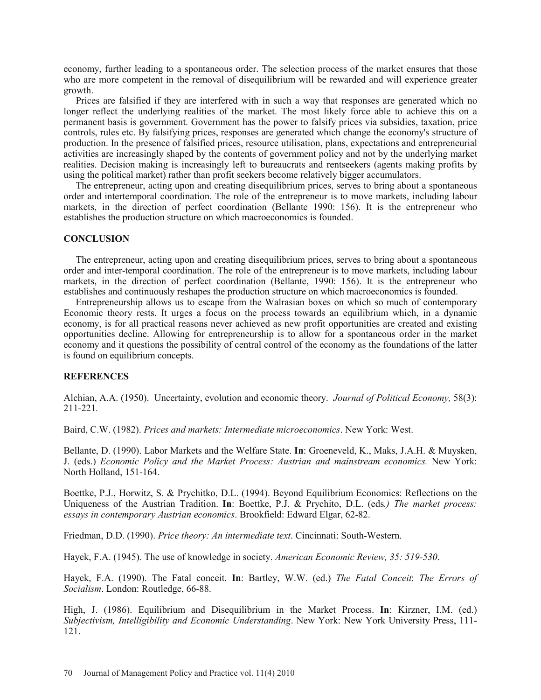economy, further leading to a spontaneous order. The selection process of the market ensures that those who are more competent in the removal of disequilibrium will be rewarded and will experience greater growth.

Prices are falsified if they are interfered with in such a way that responses are generated which no longer reflect the underlying realities of the market. The most likely force able to achieve this on a permanent basis is government. Government has the power to falsify prices via subsidies, taxation, price controls, rules etc. By falsifying prices, responses are generated which change the economy's structure of production. In the presence of falsified prices, resource utilisation, plans, expectations and entrepreneurial activities are increasingly shaped by the contents of government policy and not by the underlying market realities. Decision making is increasingly left to bureaucrats and rentseekers (agents making profits by using the political market) rather than profit seekers become relatively bigger accumulators.

The entrepreneur, acting upon and creating disequilibrium prices, serves to bring about a spontaneous order and intertemporal coordination. The role of the entrepreneur is to move markets, including labour markets, in the direction of perfect coordination (Bellante 1990: 156). It is the entrepreneur who establishes the production structure on which macroeconomics is founded.

## **CONCLUSION**

The entrepreneur, acting upon and creating disequilibrium prices, serves to bring about a spontaneous order and inter-temporal coordination. The role of the entrepreneur is to move markets, including labour markets, in the direction of perfect coordination (Bellante, 1990: 156). It is the entrepreneur who establishes and continuously reshapes the production structure on which macroeconomics is founded.

Entrepreneurship allows us to escape from the Walrasian boxes on which so much of contemporary Economic theory rests. It urges a focus on the process towards an equilibrium which, in a dynamic economy, is for all practical reasons never achieved as new profit opportunities are created and existing opportunities decline. Allowing for entrepreneurship is to allow for a spontaneous order in the market economy and it questions the possibility of central control of the economy as the foundations of the latter is found on equilibrium concepts.

# **REFERENCES**

Alchian, A.A. (1950). Uncertainty, evolution and economic theory. *Journal of Political Economy,* 58(3): 211-221*.*

Baird, C.W. (1982). *Prices and markets: Intermediate microeconomics*. New York: West.

Bellante, D. (1990). Labor Markets and the Welfare State. **In**: Groeneveld, K., Maks, J.A.H. & Muysken, J. (eds.) *Economic Policy and the Market Process: Austrian and mainstream economics.* New York: North Holland, 151-164.

Boettke, P.J., Horwitz, S. & Prychitko, D.L. (1994). Beyond Equilibrium Economics: Reflections on the Uniqueness of the Austrian Tradition. **In**: Boettke, P.J. & Prychito, D.L. (eds*.) The market process: essays in contemporary Austrian economics*. Brookfield: Edward Elgar, 62-82.

Friedman, D.D. (1990). *Price theory: An intermediate text*. Cincinnati: South-Western.

Hayek, F.A. (1945). The use of knowledge in society. *American Economic Review, 35: 519-530*.

Hayek, F.A. (1990). The Fatal conceit. **In**: Bartley, W.W. (ed.) *The Fatal Conceit*: *The Errors of Socialism*. London: Routledge, 66-88.

High, J. (1986). Equilibrium and Disequilibrium in the Market Process. **In**: Kirzner, I.M. (ed.) *Subjectivism, Intelligibility and Economic Understanding*. New York: New York University Press, 111- 121.